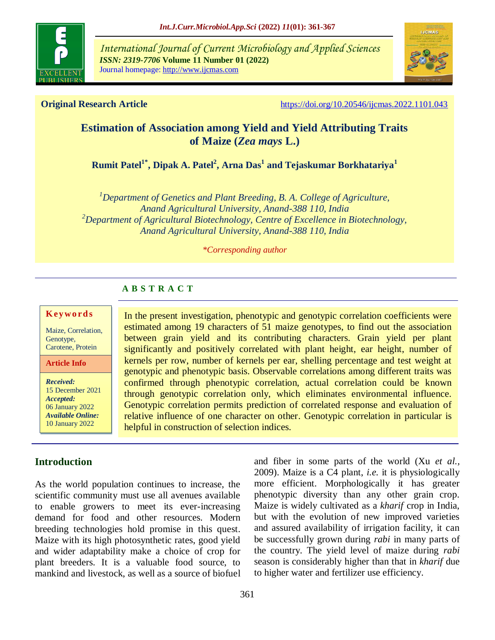

*International Journal of Current Microbiology and Applied Sciences ISSN: 2319-7706* **Volume 11 Number 01 (2022)**  Journal homepage: http://www.ijcmas.com



**Original Research Article** <https://doi.org/10.20546/ijcmas.2022.1101.043>

# **Estimation of Association among Yield and Yield Attributing Traits of Maize (***Zea mays* **L.)**

**Rumit Patel1\* , Dipak A. Patel<sup>2</sup> , Arna Das<sup>1</sup> and Tejaskumar Borkhatariya<sup>1</sup>**

*<sup>1</sup>Department of Genetics and Plant Breeding, B. A. College of Agriculture, Anand Agricultural University, Anand-388 110, India <sup>2</sup>Department of Agricultural Biotechnology, Centre of Excellence in Biotechnology, Anand Agricultural University, Anand-388 110, India*

#### *\*Corresponding author*

# **A B S T R A C T**

#### **K ey w o rd s**

Maize, Correlation, Genotype, Carotene, Protein

**Article Info**

*Received:*  15 December 2021 *Accepted:*  06 January 2022 *Available Online:* 10 January 2022

# **Introduction**

As the world population continues to increase, the scientific community must use all avenues available to enable growers to meet its ever-increasing demand for food and other resources. Modern breeding technologies hold promise in this quest. Maize with its high photosynthetic rates, good yield and wider adaptability make a choice of crop for plant breeders. It is a valuable food source, to mankind and livestock, as well as a source of biofuel

In the present investigation, phenotypic and genotypic correlation coefficients were estimated among 19 characters of 51 maize genotypes, to find out the association between grain yield and its contributing characters. Grain yield per plant significantly and positively correlated with plant height, ear height, number of kernels per row, number of kernels per ear, shelling percentage and test weight at genotypic and phenotypic basis. Observable correlations among different traits was confirmed through phenotypic correlation, actual correlation could be known through genotypic correlation only, which eliminates environmental influence. Genotypic correlation permits prediction of correlated response and evaluation of relative influence of one character on other. Genotypic correlation in particular is helpful in construction of selection indices.

> and fiber in some parts of the world (Xu *et al.,* 2009). Maize is a C4 plant, *i.e.* it is physiologically more efficient. Morphologically it has greater phenotypic diversity than any other grain crop. Maize is widely cultivated as a *kharif* crop in India, but with the evolution of new improved varieties and assured availability of irrigation facility, it can be successfully grown during *rabi* in many parts of the country. The yield level of maize during *rabi* season is considerably higher than that in *kharif* due to higher water and fertilizer use efficiency.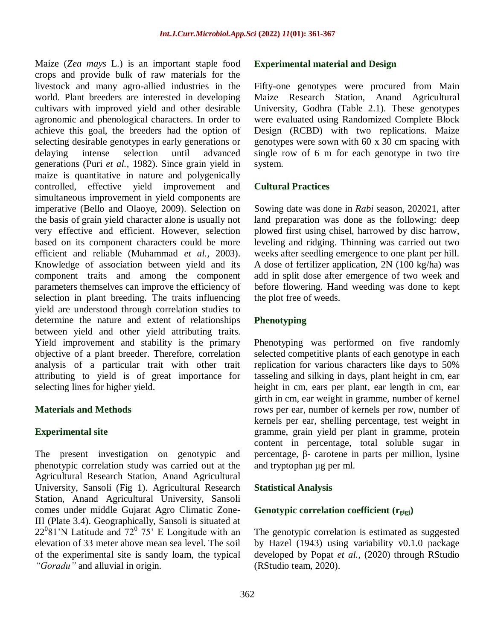Maize (*Zea mays* L.) is an important staple food crops and provide bulk of raw materials for the livestock and many agro-allied industries in the world. Plant breeders are interested in developing cultivars with improved yield and other desirable agronomic and phenological characters. In order to achieve this goal, the breeders had the option of selecting desirable genotypes in early generations or delaying intense selection until advanced generations (Puri *et al.,* 1982). Since grain yield in maize is quantitative in nature and polygenically controlled, effective yield improvement and simultaneous improvement in yield components are imperative (Bello and Olaoye, 2009). Selection on the basis of grain yield character alone is usually not very effective and efficient. However, selection based on its component characters could be more efficient and reliable (Muhammad *et al.,* 2003). Knowledge of association between yield and its component traits and among the component parameters themselves can improve the efficiency of selection in plant breeding. The traits influencing yield are understood through correlation studies to determine the nature and extent of relationships between yield and other yield attributing traits. Yield improvement and stability is the primary objective of a plant breeder. Therefore, correlation analysis of a particular trait with other trait attributing to yield is of great importance for selecting lines for higher yield.

# **Materials and Methods**

# **Experimental site**

The present investigation on genotypic and phenotypic correlation study was carried out at the Agricultural Research Station, Anand Agricultural University, Sansoli (Fig 1). Agricultural Research Station, Anand Agricultural University, Sansoli comes under middle Gujarat Agro Climatic Zone-III (Plate 3.4). Geographically, Sansoli is situated at  $22^{\circ}81'$ N Latitude and  $72^{\circ}75'$  E Longitude with an elevation of 33 meter above mean sea level. The soil of the experimental site is sandy loam, the typical *"Goradu"* and alluvial in origin.

## **Experimental material and Design**

Fifty-one genotypes were procured from Main Maize Research Station, Anand Agricultural University, Godhra (Table 2.1). These genotypes were evaluated using Randomized Complete Block Design (RCBD) with two replications. Maize genotypes were sown with 60 x 30 cm spacing with single row of 6 m for each genotype in two tire system.

## **Cultural Practices**

Sowing date was done in *Rabi* season, 202021, after land preparation was done as the following: deep plowed first using chisel, harrowed by disc harrow, leveling and ridging. Thinning was carried out two weeks after seedling emergence to one plant per hill. A dose of fertilizer application, 2N (100 kg/ha) was add in split dose after emergence of two week and before flowering. Hand weeding was done to kept the plot free of weeds.

### **Phenotyping**

Phenotyping was performed on five randomly selected competitive plants of each genotype in each replication for various characters like days to 50% tasseling and silking in days, plant height in cm, ear height in cm, ears per plant, ear length in cm, ear girth in cm, ear weight in gramme, number of kernel rows per ear, number of kernels per row, number of kernels per ear, shelling percentage, test weight in gramme, grain yield per plant in gramme, protein content in percentage, total soluble sugar in percentage, β- carotene in parts per million, lysine and tryptophan µg per ml.

### **Statistical Analysis**

# **Genotypic correlation coefficient (rgigj)**

The genotypic correlation is estimated as suggested by Hazel (1943) using variability v0.1.0 package developed by Popat *et al.,* (2020) through RStudio (RStudio team, 2020).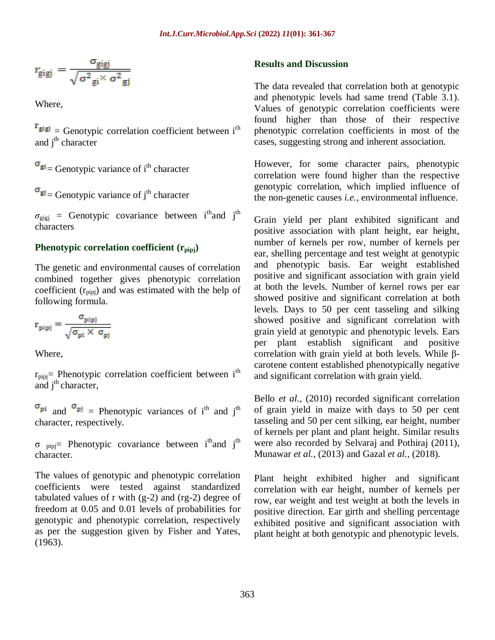$$
r_{\text{gigj}} = \frac{\sigma_{\text{gigj}}}{\sqrt{\sigma^2_{\text{gi}} \times \sigma^2_{\text{gj}}}}
$$

Where,

 $r_{\text{gig}} =$  Genotypic correlation coefficient between i<sup>th</sup> and  $i<sup>th</sup>$  character

 $\sigma_{gi}$  Genotypic variance of i<sup>th</sup> character

 $\sigma_{\text{g}j}$  = Genotypic variance of j<sup>th</sup> character

 $\sigma_{\text{gigj}}$  = Genotypic covariance between i<sup>th</sup>and j<sup>th</sup> characters

#### **Phenotypic correlation coefficient (rpipj)**

The genetic and environmental causes of correlation combined together gives phenotypic correlation coefficient  $(r<sub>pipi</sub>)$  and was estimated with the help of following formula.

$$
r_{pipj} = \frac{\sigma_{pipj}}{\sqrt{\sigma_{pi} \times \sigma_{pj}}}
$$

Where,

 $r_{\text{pipi}}$  Phenotypic correlation coefficient between i<sup>th</sup> and  $j<sup>th</sup>$  character,

 $\sigma_{pi}$  and  $\sigma_{pi}$  = Phenotypic variances of i<sup>th</sup> and j<sup>th</sup> character, respectively.

 $\sigma$  pipj= Phenotypic covariance between i<sup>th</sup>and j<sup>th</sup> character.

The values of genotypic and phenotypic correlation coefficients were tested against standardized tabulated values of r with  $(g-2)$  and  $(rg-2)$  degree of freedom at 0.05 and 0.01 levels of probabilities for genotypic and phenotypic correlation, respectively as per the suggestion given by Fisher and Yates, (1963).

### **Results and Discussion**

The data revealed that correlation both at genotypic and phenotypic levels had same trend (Table 3.1). Values of genotypic correlation coefficients were found higher than those of their respective phenotypic correlation coefficients in most of the cases, suggesting strong and inherent association.

However, for some character pairs, phenotypic correlation were found higher than the respective genotypic correlation, which implied influence of the non-genetic causes *i.e.,* environmental influence.

Grain yield per plant exhibited significant and positive association with plant height, ear height, number of kernels per row, number of kernels per ear, shelling percentage and test weight at genotypic and phenotypic basis. Ear weight established positive and significant association with grain yield at both the levels. Number of kernel rows per ear showed positive and significant correlation at both levels. Days to 50 per cent tasseling and silking showed positive and significant correlation with grain yield at genotypic and phenotypic levels. Ears per plant establish significant and positive correlation with grain yield at both levels. While βcarotene content established phenotypically negative and significant correlation with grain yield.

Bello *et al.,* (2010) recorded significant correlation of grain yield in maize with days to 50 per cent tasseling and 50 per cent silking, ear height, number of kernels per plant and plant height. Similar results were also recorded by Selvaraj and Pothiraj (2011), Munawar *et al.,* (2013) and Gazal *et al.,* (2018).

Plant height exhibited higher and significant correlation with ear height, number of kernels per row, ear weight and test weight at both the levels in positive direction. Ear girth and shelling percentage exhibited positive and significant association with plant height at both genotypic and phenotypic levels.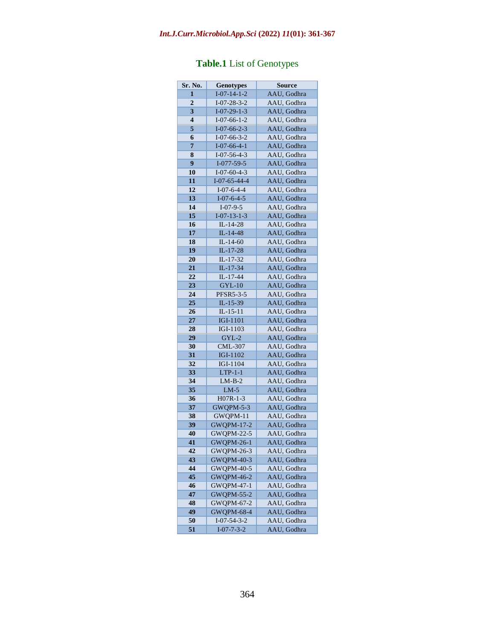# *Int.J.Curr.Microbiol.App.Sci* **(2022)** *11***(01): 361-367**

| Sr. No.         | <b>Genotypes</b>      | <b>Source</b> |
|-----------------|-----------------------|---------------|
| 1               | $I - 07 - 14 - 1 - 2$ | AAU, Godhra   |
| $\overline{2}$  | $I-07-28-3-2$         | AAU, Godhra   |
| 3               | $I-07-29-1-3$         | AAU, Godhra   |
| 4               | $I-07-66-1-2$         | AAU, Godhra   |
| 5               | $I-07-66-2-3$         | AAU. Godhra   |
| 6               | $I-07-66-3-2$         | AAU, Godhra   |
| 7               | $I-07-66-4-1$         | AAU, Godhra   |
| 8               | $I-07-56-4-3$         | AAU, Godhra   |
| $\overline{9}$  | $I-077-59-5$          | AAU, Godhra   |
| 10              | $I-07-60-4-3$         | AAU, Godhra   |
| 11              | $I-07-65-44-4$        | AAU, Godhra   |
| 12              | $I-07-6-4-4$          | AAU, Godhra   |
| 13              | $I-07-6-4-5$          | AAU, Godhra   |
| 14              | $I-07-9-5$            | AAU, Godhra   |
| 15              | $I - 07 - 13 - 1 - 3$ | AAU, Godhra   |
| 16              | IL-14-28              | AAU, Godhra   |
| 17              | $IL-14-48$            | AAU, Godhra   |
| 18              | $IL-14-60$            | AAU, Godhra   |
|                 |                       |               |
| 19              | IL-17-28              | AAU, Godhra   |
| 20              | IL-17-32              | AAU, Godhra   |
| 21              | IL-17-34              | AAU, Godhra   |
| $\overline{22}$ | $IL-17-44$            | AAU, Godhra   |
| $\overline{23}$ | $GYL-10$              | AAU, Godhra   |
| 24              | <b>PFSR5-3-5</b>      | AAU, Godhra   |
| 25              | IL-15-39              | AAU, Godhra   |
| 26              | $IL-15-11$            | AAU, Godhra   |
| 27              | <b>IGI-1101</b>       | AAU, Godhra   |
| 28              | IGI-1103              | AAU, Godhra   |
| 29              | $GYL-2$               | AAU, Godhra   |
| 30              | <b>CML-307</b>        | AAU, Godhra   |
| 31              | IGI-1102              | AAU, Godhra   |
| 32              | <b>IGI-1104</b>       | AAU, Godhra   |
| 33              | $LTP-1-1$             | AAU, Godhra   |
| 34              | $LM-B-2$              | AAU, Godhra   |
| 35              | $LM-5$                | AAU, Godhra   |
| 36              | $H07R-1-3$            | AAU, Godhra   |
| 37              | GWQPM-5-3             | AAU, Godhra   |
| 38              | GWQPM-11              | AAU, Godhra   |
| 39              | <b>GWQPM-17-2</b>     | AAU. Godhra   |
| 40              | <b>GWQPM-22-5</b>     | AAU, Godhra   |
| 41              | <b>GWQPM-26-1</b>     | AAU, Godhra   |
| 42              | GWQPM-26-3            | AAU, Godhra   |
| 43              | <b>GWQPM-40-3</b>     | AAU, Godhra   |
| 44              | <b>GWQPM-40-5</b>     | AAU, Godhra   |
| 45              | <b>GWQPM-46-2</b>     | AAU, Godhra   |
| 46              | <b>GWQPM-47-1</b>     | AAU, Godhra   |
| 47              | <b>GWQPM-55-2</b>     | AAU, Godhra   |
| 48              | <b>GWOPM-67-2</b>     | AAU, Godhra   |
| 49              | <b>GWQPM-68-4</b>     | AAU, Godhra   |
| 50              | $I - 07 - 54 - 3 - 2$ | AAU, Godhra   |
| 51              | $I - 07 - 7 - 3 - 2$  | AAU, Godhra   |
|                 |                       |               |

# **Table.1** List of Genotypes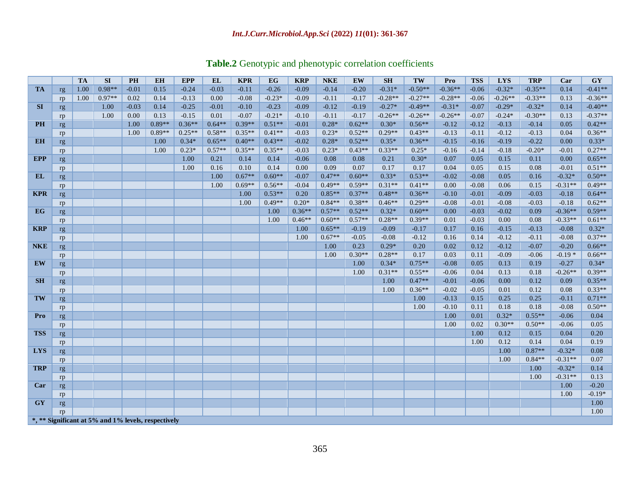# *Int.J.Curr.Microbiol.App.Sci* **(2022)** *11***(01): 361-367**

|  |  |  |  |  |  |  | Table.2 Genotypic and phenotypic correlation coefficients |
|--|--|--|--|--|--|--|-----------------------------------------------------------|
|--|--|--|--|--|--|--|-----------------------------------------------------------|

|            |          | <b>TA</b> | <b>SI</b> | <b>PH</b> | <b>EH</b>                                           | <b>EPP</b> | <b>EL</b> | <b>KPR</b> | EG       | <b>KRP</b> | <b>NKE</b> | <b>EW</b> | <b>SH</b> | TW               | Pro                | <b>TSS</b>      | <b>LYS</b>   | <b>TRP</b>   | Car             | <b>GY</b>            |
|------------|----------|-----------|-----------|-----------|-----------------------------------------------------|------------|-----------|------------|----------|------------|------------|-----------|-----------|------------------|--------------------|-----------------|--------------|--------------|-----------------|----------------------|
| <b>TA</b>  | rg       | 1.00      | $0.98**$  | $-0.01$   | 0.15                                                | $-0.24$    | $-0.03$   | $-0.11$    | $-0.26$  | $-0.09$    | $-0.14$    | $-0.20$   | $-0.31*$  | $-0.50**$        | $-0.36**$          | $-0.06$         | $-0.32*$     | $-0.35**$    | 0.14            | $-0.41**$            |
|            | rp       | 1.00      | $0.97**$  | 0.02      | 0.14                                                | $-0.13$    | 0.00      | $-0.08$    | $-0.23*$ | $-0.09$    | $-0.11$    | $-0.17$   | $-0.28**$ | $-0.27**$        | $-0.28**$          | $-0.06$         | $-0.26**$    | $-0.33**$    | 0.13            | $-0.36**$            |
| <b>SI</b>  | rg       |           | 1.00      | $-0.03$   | 0.14                                                | $-0.25$    | $-0.01$   | $-0.10$    | $-0.23$  | $-0.09$    | $-0.12$    | $-0.19$   | $-0.27*$  | $-0.49**$        | $-0.31*$           | $-0.07$         | $-0.29*$     | $-0.32*$     | 0.14            | $-0.40**$            |
|            | rp       |           | 1.00      | 0.00      | 0.13                                                | $-0.15$    | 0.01      | $-0.07$    | $-0.21*$ | $-0.10$    | $-0.11$    | $-0.17$   | $-0.26**$ | $-0.26**$        | $-0.26**$          | $-0.07$         | $-0.24*$     | $-0.30**$    | 0.13            | $-0.37**$            |
| <b>PH</b>  | rg       |           |           | 1.00      | $0.89**$                                            | $0.36**$   | $0.64**$  | $0.39**$   | $0.51**$ | $-0.01$    | $0.28*$    | $0.62**$  | $0.30*$   | $0.56**$         | $-0.12$            | $-0.12$         | $-0.13$      | $-0.14$      | 0.05            | $0.42**$             |
|            | rp       |           |           | 1.00      | $0.89**$                                            | $0.25**$   | $0.58**$  | $0.35**$   | $0.41**$ | $-0.03$    | $0.23*$    | $0.52**$  | $0.29**$  | $0.43**$         | $-0.13$            | $-0.11$         | $-0.12$      | $-0.13$      | 0.04            | $0.36**$             |
| <b>EH</b>  | rg       |           |           |           | 1.00                                                | $0.34*$    | $0.65**$  | $0.40**$   | $0.43**$ | $-0.02$    | $0.28*$    | $0.52**$  | $0.35*$   | $0.36**$         | $-0.15$            | $-0.16$         | $-0.19$      | $-0.22$      | 0.00            | $0.33*$              |
|            | rp       |           |           |           | 1.00                                                | $0.23*$    | $0.57**$  | $0.35**$   | $0.35**$ | $-0.03$    | $0.23*$    | $0.43**$  | $0.33**$  | $0.25*$          | $-0.16$            | $-0.14$         | $-0.18$      | $-0.20*$     | $-0.01$         | $0.27**$             |
| <b>EPP</b> | rg       |           |           |           |                                                     | 1.00       | 0.21      | 0.14       | 0.14     | $-0.06$    | 0.08       | 0.08      | 0.21      | $0.30*$          | 0.07               | 0.05            | 0.15         | 0.11         | 0.00            | $0.65**$             |
|            | rp       |           |           |           |                                                     | 1.00       | 0.16      | 0.10       | 0.14     | 0.00       | 0.09       | 0.07      | 0.17      | 0.17             | 0.04               | 0.05            | 0.15         | 0.08         | $-0.01$         | $0.51**$             |
| EL         | rg       |           |           |           |                                                     |            | 1.00      | $0.67**$   | $0.60**$ | $-0.07$    | $0.47**$   | $0.60**$  | $0.33*$   | $0.53**$         | $-0.02$            | $-0.08$         | 0.05         | 0.16         | $-0.32*$        | $0.50**$             |
|            | rp       |           |           |           |                                                     |            | 1.00      | $0.69**$   | $0.56**$ | $-0.04$    | $0.49**$   | $0.59**$  | $0.31**$  | $0.41**$         | 0.00               | $-0.08$         | 0.06         | 0.15         | $-0.31**$       | $0.49**$             |
| <b>KPR</b> | rg       |           |           |           |                                                     |            |           | 1.00       | $0.53**$ | 0.20       | $0.85**$   | $0.37**$  | $0.48**$  | $0.36**$         | $-0.10$            | $-0.01$         | $-0.09$      | $-0.03$      | $-0.18$         | $0.64**$             |
|            | rp       |           |           |           |                                                     |            |           | 1.00       | $0.49**$ | $0.20*$    | $0.84**$   | $0.38**$  | $0.46**$  | $0.29**$         | $-0.08$            | $-0.01$         | $-0.08$      | $-0.03$      | $-0.18$         | $0.62**$             |
| EG         | rg       |           |           |           |                                                     |            |           |            | 1.00     | $0.36**$   | $0.57**$   | $0.52**$  | $0.32*$   | $0.60**$         | 0.00               | $-0.03$         | $-0.02$      | 0.09         | $-0.36**$       | $0.59**$             |
|            | rp       |           |           |           |                                                     |            |           |            | 1.00     | $0.46**$   | $0.60**$   | $0.57**$  | $0.28**$  | $0.39**$         | 0.01               | $-0.03$         | 0.00         | 0.08         | $-0.33**$       | $0.61**$             |
| <b>KRP</b> | rg       |           |           |           |                                                     |            |           |            |          | 1.00       | $0.65**$   | $-0.19$   | $-0.09$   | $-0.17$          | 0.17               | 0.16            | $-0.15$      | $-0.13$      | $-0.08$         | $0.32*$              |
|            | rp       |           |           |           |                                                     |            |           |            |          | 1.00       | $0.67**$   | $-0.05$   | $-0.08$   | $-0.12$          | 0.16               | 0.14            | $-0.12$      | $-0.11$      | $-0.08$         | $0.37**$             |
| <b>NKE</b> | rg       |           |           |           |                                                     |            |           |            |          |            | 1.00       | 0.23      | $0.29*$   | 0.20             | 0.02               | 0.12            | $-0.12$      | $-0.07$      | $-0.20$         | $0.66**$             |
|            | rp       |           |           |           |                                                     |            |           |            |          |            | 1.00       | $0.30**$  | $0.28**$  | 0.17             | 0.03               | 0.11            | $-0.09$      | $-0.06$      | $-0.19*$        | $0.66**$             |
| <b>EW</b>  | rg       |           |           |           |                                                     |            |           |            |          |            |            | 1.00      | $0.34*$   | $0.75**$         | $-0.08$            | 0.05            | 0.13         | 0.19         | $-0.27$         | $0.34*$              |
|            | rp       |           |           |           |                                                     |            |           |            |          |            |            | 1.00      | $0.31**$  | $0.55**$         | $-0.06$            | 0.04            | 0.13         | 0.18         | $-0.26**$       | $0.39**$             |
| <b>SH</b>  | rg       |           |           |           |                                                     |            |           |            |          |            |            |           | 1.00      | $0.47**$         | $-0.01$            | $-0.06$         | 0.00         | 0.12         | 0.09            | $0.35**$             |
|            | rp       |           |           |           |                                                     |            |           |            |          |            |            |           | 1.00      | $0.36**$<br>1.00 | $-0.02$            | $-0.05$<br>0.15 | 0.01<br>0.25 | 0.12<br>0.25 | 0.08<br>$-0.11$ | $0.33**$<br>$0.71**$ |
| TW         | rg       |           |           |           |                                                     |            |           |            |          |            |            |           |           | 1.00             | $-0.13$<br>$-0.10$ | 0.11            | 0.18         | 0.18         | $-0.08$         |                      |
| Pro        | rp       |           |           |           |                                                     |            |           |            |          |            |            |           |           |                  | 1.00               | 0.01            | $0.32*$      | $0.55**$     | $-0.06$         | $0.50**$<br>0.04     |
|            | rg       |           |           |           |                                                     |            |           |            |          |            |            |           |           |                  | 1.00               | 0.02            | $0.30**$     | $0.50**$     | $-0.06$         | 0.05                 |
| <b>TSS</b> | rp       |           |           |           |                                                     |            |           |            |          |            |            |           |           |                  |                    | 1.00            | 0.12         | 0.15         | 0.04            | 0.20                 |
|            | rg<br>rp |           |           |           |                                                     |            |           |            |          |            |            |           |           |                  |                    | 1.00            | 0.12         | 0.14         | 0.04            | 0.19                 |
| <b>LYS</b> | rg       |           |           |           |                                                     |            |           |            |          |            |            |           |           |                  |                    |                 | 1.00         | $0.87**$     | $-0.32*$        | 0.08                 |
|            | rp       |           |           |           |                                                     |            |           |            |          |            |            |           |           |                  |                    |                 | 1.00         | $0.84**$     | $-0.31**$       | 0.07                 |
| <b>TRP</b> | rg       |           |           |           |                                                     |            |           |            |          |            |            |           |           |                  |                    |                 |              | 1.00         | $-0.32*$        | 0.14                 |
|            | rp       |           |           |           |                                                     |            |           |            |          |            |            |           |           |                  |                    |                 |              | 1.00         | $-0.31**$       | 0.13                 |
| Car        | rg       |           |           |           |                                                     |            |           |            |          |            |            |           |           |                  |                    |                 |              |              | 1.00            | $-0.20$              |
|            | rp       |           |           |           |                                                     |            |           |            |          |            |            |           |           |                  |                    |                 |              |              | 1.00            | $-0.19*$             |
| <b>GY</b>  | rg       |           |           |           |                                                     |            |           |            |          |            |            |           |           |                  |                    |                 |              |              |                 | 1.00                 |
|            | rp       |           |           |           |                                                     |            |           |            |          |            |            |           |           |                  |                    |                 |              |              |                 | 1.00                 |
|            |          |           |           |           | *, ** Significant at 5% and 1% levels, respectively |            |           |            |          |            |            |           |           |                  |                    |                 |              |              |                 |                      |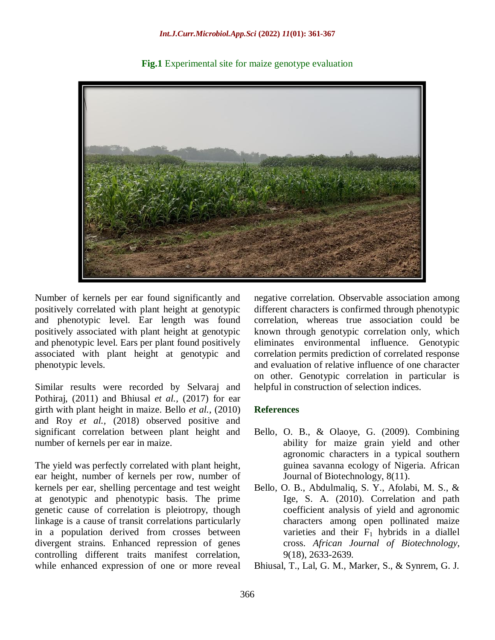

**Fig.1** Experimental site for maize genotype evaluation

Number of kernels per ear found significantly and positively correlated with plant height at genotypic and phenotypic level. Ear length was found positively associated with plant height at genotypic and phenotypic level. Ears per plant found positively associated with plant height at genotypic and phenotypic levels.

Similar results were recorded by Selvaraj and Pothiraj, (2011) and Bhiusal *et al.,* (2017) for ear girth with plant height in maize. Bello *et al.,* (2010) and Roy *et al.,* (2018) observed positive and significant correlation between plant height and number of kernels per ear in maize.

The yield was perfectly correlated with plant height, ear height, number of kernels per row, number of kernels per ear, shelling percentage and test weight at genotypic and phenotypic basis. The prime genetic cause of correlation is pleiotropy, though linkage is a cause of transit correlations particularly in a population derived from crosses between divergent strains. Enhanced repression of genes controlling different traits manifest correlation, while enhanced expression of one or more reveal

negative correlation. Observable association among different characters is confirmed through phenotypic correlation, whereas true association could be known through genotypic correlation only, which eliminates environmental influence. Genotypic correlation permits prediction of correlated response and evaluation of relative influence of one character on other. Genotypic correlation in particular is helpful in construction of selection indices.

# **References**

- Bello, O. B., & Olaoye, G. (2009). Combining ability for maize grain yield and other agronomic characters in a typical southern guinea savanna ecology of Nigeria. African Journal of Biotechnology, 8(11).
- Bello, O. B., Abdulmaliq, S. Y., Afolabi, M. S., & Ige, S. A. (2010). Correlation and path coefficient analysis of yield and agronomic characters among open pollinated maize varieties and their  $F_1$  hybrids in a diallel cross. *African Journal of Biotechnology*, 9(18), 2633-2639.
- Bhiusal, T., Lal, G. M., Marker, S., & Synrem, G. J.